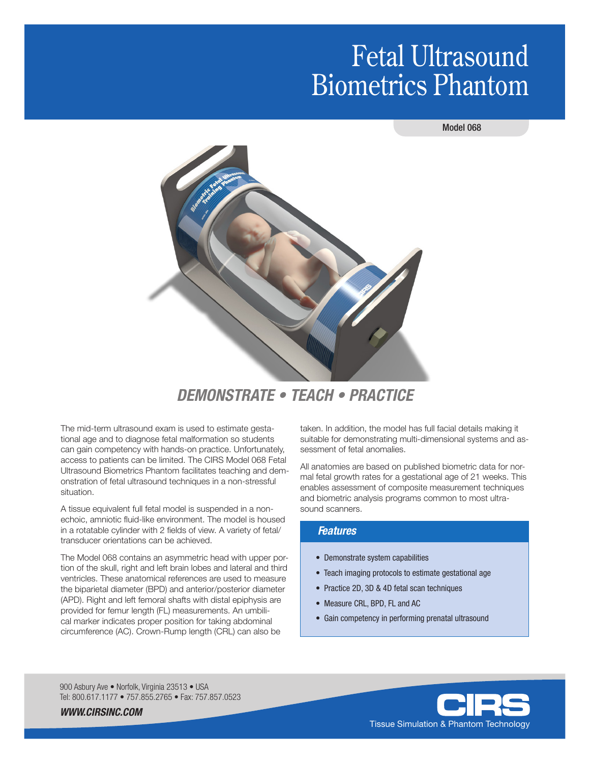# Fetal Ultrasound Biometrics Phantom

#### Model 068



## *DEMONSTRATE • TEACH • PRACTICE*

The mid-term ultrasound exam is used to estimate gestational age and to diagnose fetal malformation so students can gain competency with hands-on practice. Unfortunately, access to patients can be limited. The CIRS Model 068 Fetal Ultrasound Biometrics Phantom facilitates teaching and demonstration of fetal ultrasound techniques in a non-stressful situation.

A tissue equivalent full fetal model is suspended in a nonechoic, amniotic fluid-like environment. The model is housed in a rotatable cylinder with 2 fields of view. A variety of fetal/ transducer orientations can be achieved.

The Model 068 contains an asymmetric head with upper portion of the skull, right and left brain lobes and lateral and third ventricles. These anatomical references are used to measure the biparietal diameter (BPD) and anterior/posterior diameter (APD). Right and left femoral shafts with distal epiphysis are provided for femur length (FL) measurements. An umbilical marker indicates proper position for taking abdominal circumference (AC). Crown-Rump length (CRL) can also be

taken. In addition, the model has full facial details making it suitable for demonstrating multi-dimensional systems and assessment of fetal anomalies.

All anatomies are based on published biometric data for normal fetal growth rates for a gestational age of 21 weeks. This enables assessment of composite measurement techniques and biometric analysis programs common to most ultrasound scanners.

#### *Features*

- Demonstrate system capabilities
- Teach imaging protocols to estimate gestational age
- Practice 2D, 3D & 4D fetal scan techniques
- Measure CRL, BPD, FL and AC
- Gain competency in performing prenatal ultrasound

900 Asbury Ave · Norfolk, Virginia 23513 · USA Tel: 800.617.1177 • 757.855.2765 • Fax: 757.857.0523